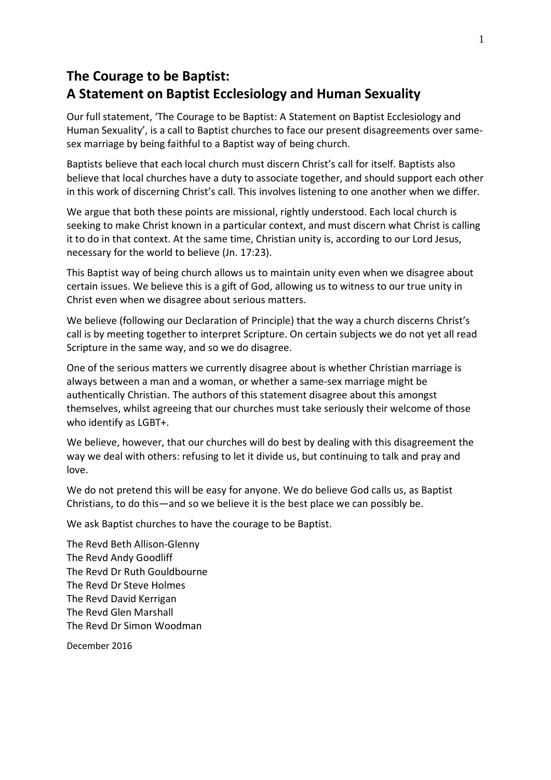# **The Courage to be Baptist: A Statement on Baptist Ecclesiology and Human Sexuality**

Our full statement, 'The Courage to be Baptist: A Statement on Baptist Ecclesiology and Human Sexuality', is a call to Baptist churches to face our present disagreements over samesex marriage by being faithful to a Baptist way of being church.

Baptists believe that each local church must discern Christ's call for itself. Baptists also believe that local churches have a duty to associate together, and should support each other in this work of discerning Christ's call. This involves listening to one another when we differ.

We argue that both these points are missional, rightly understood. Each local church is seeking to make Christ known in a particular context, and must discern what Christ is calling it to do in that context. At the same time, Christian unity is, according to our Lord Jesus, necessary for the world to believe (Jn. 17:23).

This Baptist way of being church allows us to maintain unity even when we disagree about certain issues. We believe this is a gift of God, allowing us to witness to our true unity in Christ even when we disagree about serious matters.

We believe (following our Declaration of Principle) that the way a church discerns Christ's call is by meeting together to interpret Scripture. On certain subjects we do not yet all read Scripture in the same way, and so we do disagree.

One of the serious matters we currently disagree about is whether Christian marriage is always between a man and a woman, or whether a same-sex marriage might be authentically Christian. The authors of this statement disagree about this amongst themselves, whilst agreeing that our churches must take seriously their welcome of those who identify as LGBT+.

We believe, however, that our churches will do best by dealing with this disagreement the way we deal with others: refusing to let it divide us, but continuing to talk and pray and love.

We do not pretend this will be easy for anyone. We do believe God calls us, as Baptist Christians, to do this—and so we believe it is the best place we can possibly be.

We ask Baptist churches to have the courage to be Baptist.

The Revd Beth Allison-Glenny The Revd Andy Goodliff The Revd Dr Ruth Gouldbourne The Revd Dr Steve Holmes The Revd David Kerrigan The Revd Glen Marshall The Revd Dr Simon Woodman

December 2016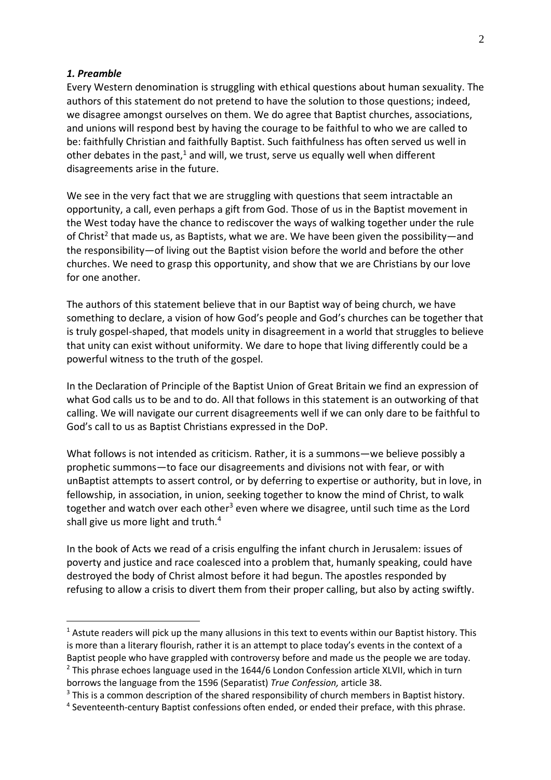#### *1. Preamble*

<u>.</u>

Every Western denomination is struggling with ethical questions about human sexuality. The authors of this statement do not pretend to have the solution to those questions; indeed, we disagree amongst ourselves on them. We do agree that Baptist churches, associations, and unions will respond best by having the courage to be faithful to who we are called to be: faithfully Christian and faithfully Baptist. Such faithfulness has often served us well in other debates in the past, $1$  and will, we trust, serve us equally well when different disagreements arise in the future.

We see in the very fact that we are struggling with questions that seem intractable an opportunity, a call, even perhaps a gift from God. Those of us in the Baptist movement in the West today have the chance to rediscover the ways of walking together under the rule of Christ<sup>2</sup> that made us, as Baptists, what we are. We have been given the possibility—and the responsibility—of living out the Baptist vision before the world and before the other churches. We need to grasp this opportunity, and show that we are Christians by our love for one another.

The authors of this statement believe that in our Baptist way of being church, we have something to declare, a vision of how God's people and God's churches can be together that is truly gospel-shaped, that models unity in disagreement in a world that struggles to believe that unity can exist without uniformity. We dare to hope that living differently could be a powerful witness to the truth of the gospel.

In the Declaration of Principle of the Baptist Union of Great Britain we find an expression of what God calls us to be and to do. All that follows in this statement is an outworking of that calling. We will navigate our current disagreements well if we can only dare to be faithful to God's call to us as Baptist Christians expressed in the DoP.

What follows is not intended as criticism. Rather, it is a summons—we believe possibly a prophetic summons—to face our disagreements and divisions not with fear, or with unBaptist attempts to assert control, or by deferring to expertise or authority, but in love, in fellowship, in association, in union, seeking together to know the mind of Christ, to walk together and watch over each other<sup>3</sup> even where we disagree, until such time as the Lord shall give us more light and truth.<sup>4</sup>

In the book of Acts we read of a crisis engulfing the infant church in Jerusalem: issues of poverty and justice and race coalesced into a problem that, humanly speaking, could have destroyed the body of Christ almost before it had begun. The apostles responded by refusing to allow a crisis to divert them from their proper calling, but also by acting swiftly.

<sup>&</sup>lt;sup>1</sup> Astute readers will pick up the many allusions in this text to events within our Baptist history. This is more than a literary flourish, rather it is an attempt to place today's events in the context of a Baptist people who have grappled with controversy before and made us the people we are today.  $2$  This phrase echoes language used in the 1644/6 London Confession article XLVII, which in turn

borrows the language from the 1596 (Separatist) *True Confession,* article 38.

 $3$  This is a common description of the shared responsibility of church members in Baptist history. <sup>4</sup> Seventeenth-century Baptist confessions often ended, or ended their preface, with this phrase.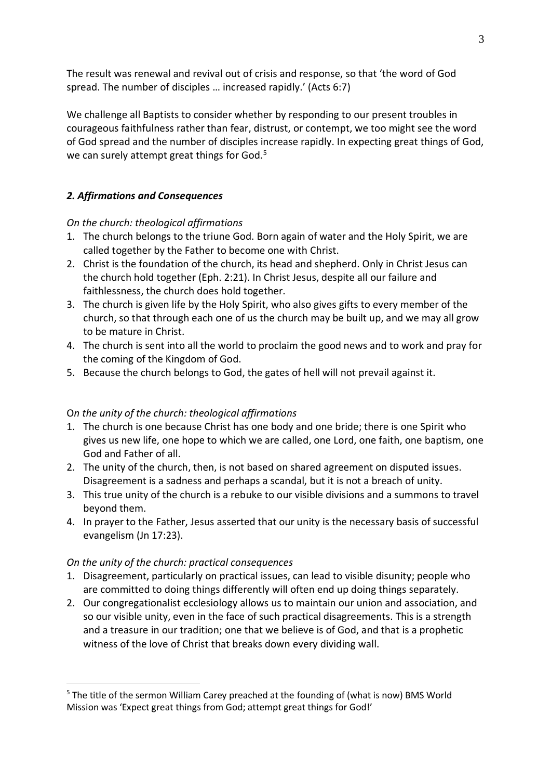The result was renewal and revival out of crisis and response, so that 'the word of God spread. The number of disciples … increased rapidly.' (Acts 6:7)

We challenge all Baptists to consider whether by responding to our present troubles in courageous faithfulness rather than fear, distrust, or contempt, we too might see the word of God spread and the number of disciples increase rapidly. In expecting great things of God, we can surely attempt great things for God.<sup>5</sup>

## *2. Affirmations and Consequences*

## *On the church: theological affirmations*

- 1. The church belongs to the triune God. Born again of water and the Holy Spirit, we are called together by the Father to become one with Christ.
- 2. Christ is the foundation of the church, its head and shepherd. Only in Christ Jesus can the church hold together (Eph. 2:21). In Christ Jesus, despite all our failure and faithlessness, the church does hold together.
- 3. The church is given life by the Holy Spirit, who also gives gifts to every member of the church, so that through each one of us the church may be built up, and we may all grow to be mature in Christ.
- 4. The church is sent into all the world to proclaim the good news and to work and pray for the coming of the Kingdom of God.
- 5. Because the church belongs to God, the gates of hell will not prevail against it.

## O*n the unity of the church: theological affirmations*

- 1. The church is one because Christ has one body and one bride; there is one Spirit who gives us new life, one hope to which we are called, one Lord, one faith, one baptism, one God and Father of all.
- 2. The unity of the church, then, is not based on shared agreement on disputed issues. Disagreement is a sadness and perhaps a scandal, but it is not a breach of unity.
- 3. This true unity of the church is a rebuke to our visible divisions and a summons to travel beyond them.
- 4. In prayer to the Father, Jesus asserted that our unity is the necessary basis of successful evangelism (Jn 17:23).

## *On the unity of the church: practical consequences*

<u>.</u>

- 1. Disagreement, particularly on practical issues, can lead to visible disunity; people who are committed to doing things differently will often end up doing things separately.
- 2. Our congregationalist ecclesiology allows us to maintain our union and association, and so our visible unity, even in the face of such practical disagreements. This is a strength and a treasure in our tradition; one that we believe is of God, and that is a prophetic witness of the love of Christ that breaks down every dividing wall.

<sup>&</sup>lt;sup>5</sup> The title of the sermon William Carey preached at the founding of (what is now) BMS World Mission was 'Expect great things from God; attempt great things for God!'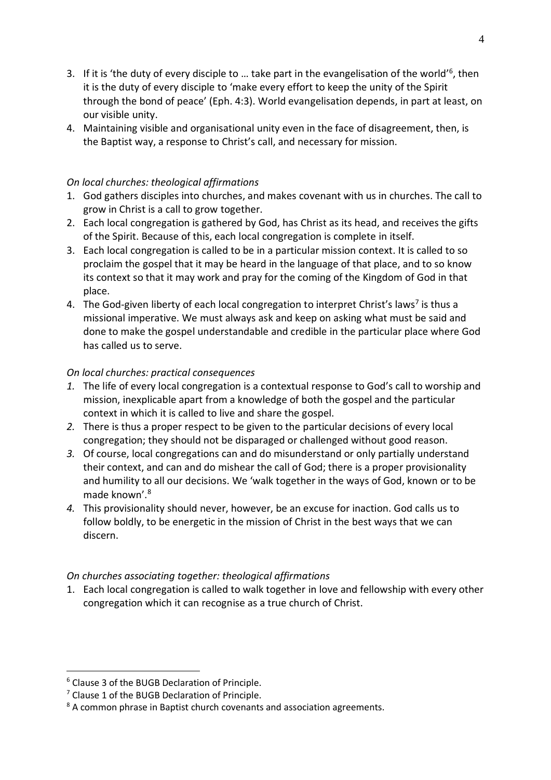- 3. If it is 'the duty of every disciple to ... take part in the evangelisation of the world'<sup>6</sup>, then it is the duty of every disciple to 'make every effort to keep the unity of the Spirit through the bond of peace' (Eph. 4:3). World evangelisation depends, in part at least, on our visible unity.
- 4. Maintaining visible and organisational unity even in the face of disagreement, then, is the Baptist way, a response to Christ's call, and necessary for mission.

#### *On local churches: theological affirmations*

- 1. God gathers disciples into churches, and makes covenant with us in churches. The call to grow in Christ is a call to grow together.
- 2. Each local congregation is gathered by God, has Christ as its head, and receives the gifts of the Spirit. Because of this, each local congregation is complete in itself.
- 3. Each local congregation is called to be in a particular mission context. It is called to so proclaim the gospel that it may be heard in the language of that place, and to so know its context so that it may work and pray for the coming of the Kingdom of God in that place.
- 4. The God-given liberty of each local congregation to interpret Christ's laws<sup>7</sup> is thus a missional imperative. We must always ask and keep on asking what must be said and done to make the gospel understandable and credible in the particular place where God has called us to serve.

#### *On local churches: practical consequences*

- *1.* The life of every local congregation is a contextual response to God's call to worship and mission, inexplicable apart from a knowledge of both the gospel and the particular context in which it is called to live and share the gospel.
- *2.* There is thus a proper respect to be given to the particular decisions of every local congregation; they should not be disparaged or challenged without good reason.
- *3.* Of course, local congregations can and do misunderstand or only partially understand their context, and can and do mishear the call of God; there is a proper provisionality and humility to all our decisions. We 'walk together in the ways of God, known or to be made known'. 8
- *4.* This provisionality should never, however, be an excuse for inaction. God calls us to follow boldly, to be energetic in the mission of Christ in the best ways that we can discern.

#### *On churches associating together: theological affirmations*

1. Each local congregation is called to walk together in love and fellowship with every other congregation which it can recognise as a true church of Christ.

1

<sup>6</sup> Clause 3 of the BUGB Declaration of Principle.

<sup>7</sup> Clause 1 of the BUGB Declaration of Principle.

<sup>&</sup>lt;sup>8</sup> A common phrase in Baptist church covenants and association agreements.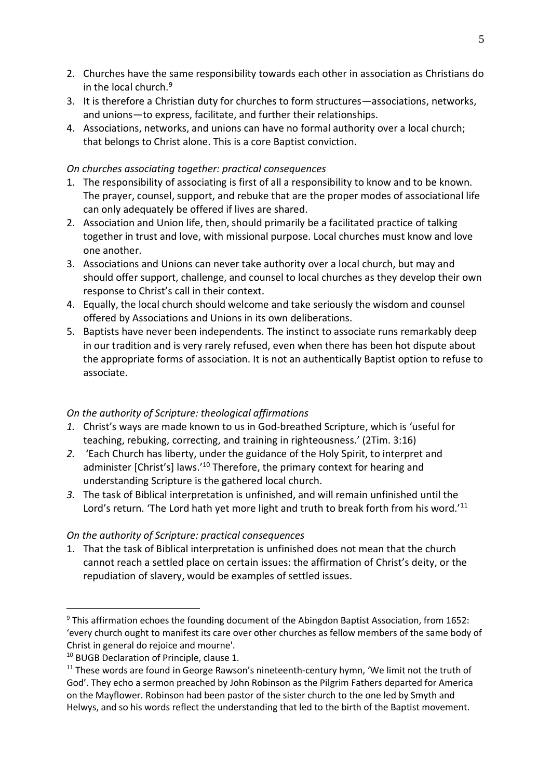- 2. Churches have the same responsibility towards each other in association as Christians do in the local church.<sup>9</sup>
- 3. It is therefore a Christian duty for churches to form structures—associations, networks, and unions—to express, facilitate, and further their relationships.
- 4. Associations, networks, and unions can have no formal authority over a local church; that belongs to Christ alone. This is a core Baptist conviction.

#### *On churches associating together: practical consequences*

- 1. The responsibility of associating is first of all a responsibility to know and to be known. The prayer, counsel, support, and rebuke that are the proper modes of associational life can only adequately be offered if lives are shared.
- 2. Association and Union life, then, should primarily be a facilitated practice of talking together in trust and love, with missional purpose. Local churches must know and love one another.
- 3. Associations and Unions can never take authority over a local church, but may and should offer support, challenge, and counsel to local churches as they develop their own response to Christ's call in their context.
- 4. Equally, the local church should welcome and take seriously the wisdom and counsel offered by Associations and Unions in its own deliberations.
- 5. Baptists have never been independents. The instinct to associate runs remarkably deep in our tradition and is very rarely refused, even when there has been hot dispute about the appropriate forms of association. It is not an authentically Baptist option to refuse to associate.

## *On the authority of Scripture: theological affirmations*

- *1.* Christ's ways are made known to us in God-breathed Scripture, which is 'useful for teaching, rebuking, correcting, and training in righteousness.' (2Tim. 3:16)
- *2.* 'Each Church has liberty, under the guidance of the Holy Spirit, to interpret and administer [Christ's] laws.'<sup>10</sup> Therefore, the primary context for hearing and understanding Scripture is the gathered local church.
- *3.* The task of Biblical interpretation is unfinished, and will remain unfinished until the Lord's return. 'The Lord hath yet more light and truth to break forth from his word.'<sup>11</sup>

#### *On the authority of Scripture: practical consequences*

1. That the task of Biblical interpretation is unfinished does not mean that the church cannot reach a settled place on certain issues: the affirmation of Christ's deity, or the repudiation of slavery, would be examples of settled issues.

<u>.</u>

<sup>&</sup>lt;sup>9</sup> This affirmation echoes the founding document of the Abingdon Baptist Association, from 1652: 'every church ought to manifest its care over other churches as fellow members of the same body of Christ in general do rejoice and mourne'.

<sup>&</sup>lt;sup>10</sup> BUGB Declaration of Principle, clause 1.

<sup>&</sup>lt;sup>11</sup> These words are found in George Rawson's nineteenth-century hymn, 'We limit not the truth of God'. They echo a sermon preached by John Robinson as the Pilgrim Fathers departed for America on the Mayflower. Robinson had been pastor of the sister church to the one led by Smyth and Helwys, and so his words reflect the understanding that led to the birth of the Baptist movement.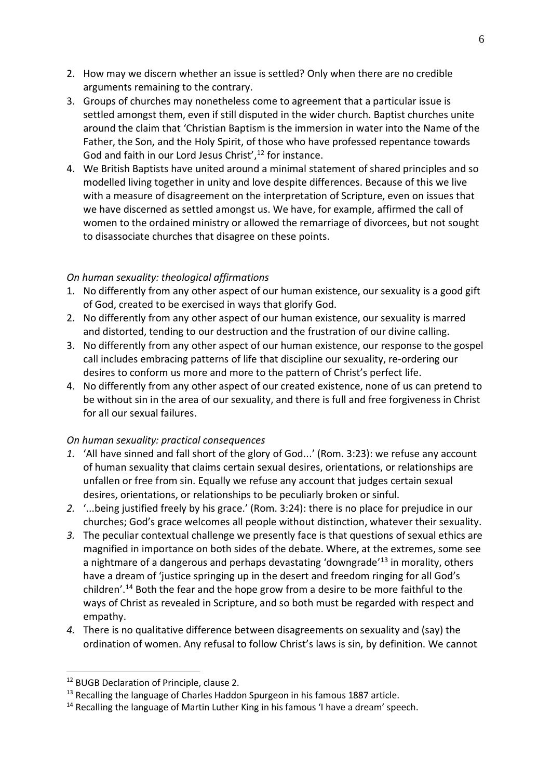- 2. How may we discern whether an issue is settled? Only when there are no credible arguments remaining to the contrary.
- 3. Groups of churches may nonetheless come to agreement that a particular issue is settled amongst them, even if still disputed in the wider church. Baptist churches unite around the claim that 'Christian Baptism is the immersion in water into the Name of the Father, the Son, and the Holy Spirit, of those who have professed repentance towards God and faith in our Lord Jesus Christ',<sup>12</sup> for instance.
- 4. We British Baptists have united around a minimal statement of shared principles and so modelled living together in unity and love despite differences. Because of this we live with a measure of disagreement on the interpretation of Scripture, even on issues that we have discerned as settled amongst us. We have, for example, affirmed the call of women to the ordained ministry or allowed the remarriage of divorcees, but not sought to disassociate churches that disagree on these points.

## *On human sexuality: theological affirmations*

- 1. No differently from any other aspect of our human existence, our sexuality is a good gift of God, created to be exercised in ways that glorify God.
- 2. No differently from any other aspect of our human existence, our sexuality is marred and distorted, tending to our destruction and the frustration of our divine calling.
- 3. No differently from any other aspect of our human existence, our response to the gospel call includes embracing patterns of life that discipline our sexuality, re-ordering our desires to conform us more and more to the pattern of Christ's perfect life.
- 4. No differently from any other aspect of our created existence, none of us can pretend to be without sin in the area of our sexuality, and there is full and free forgiveness in Christ for all our sexual failures.

## *On human sexuality: practical consequences*

- *1.* 'All have sinned and fall short of the glory of God...' (Rom. 3:23): we refuse any account of human sexuality that claims certain sexual desires, orientations, or relationships are unfallen or free from sin. Equally we refuse any account that judges certain sexual desires, orientations, or relationships to be peculiarly broken or sinful.
- *2.* '...being justified freely by his grace.' (Rom. 3:24): there is no place for prejudice in our churches; God's grace welcomes all people without distinction, whatever their sexuality.
- *3.* The peculiar contextual challenge we presently face is that questions of sexual ethics are magnified in importance on both sides of the debate. Where, at the extremes, some see a nightmare of a dangerous and perhaps devastating 'downgrade'<sup>13</sup> in morality, others have a dream of 'justice springing up in the desert and freedom ringing for all God's children'. <sup>14</sup> Both the fear and the hope grow from a desire to be more faithful to the ways of Christ as revealed in Scripture, and so both must be regarded with respect and empathy.
- *4.* There is no qualitative difference between disagreements on sexuality and (say) the ordination of women. Any refusal to follow Christ's laws is sin, by definition. We cannot

1

<sup>&</sup>lt;sup>12</sup> BUGB Declaration of Principle, clause 2.

 $13$  Recalling the language of Charles Haddon Spurgeon in his famous 1887 article.

 $14$  Recalling the language of Martin Luther King in his famous 'I have a dream' speech.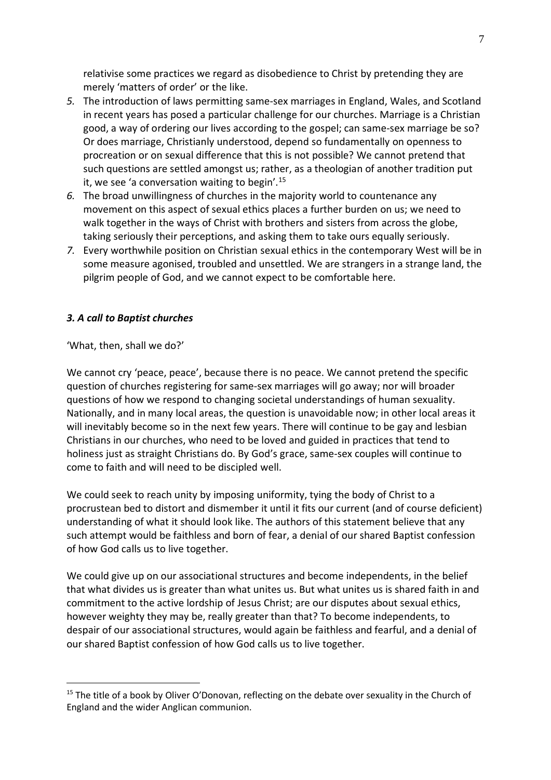relativise some practices we regard as disobedience to Christ by pretending they are merely 'matters of order' or the like.

- *5.* The introduction of laws permitting same-sex marriages in England, Wales, and Scotland in recent years has posed a particular challenge for our churches. Marriage is a Christian good, a way of ordering our lives according to the gospel; can same-sex marriage be so? Or does marriage, Christianly understood, depend so fundamentally on openness to procreation or on sexual difference that this is not possible? We cannot pretend that such questions are settled amongst us; rather, as a theologian of another tradition put it, we see 'a conversation waiting to begin'.<sup>15</sup>
- *6.* The broad unwillingness of churches in the majority world to countenance any movement on this aspect of sexual ethics places a further burden on us; we need to walk together in the ways of Christ with brothers and sisters from across the globe, taking seriously their perceptions, and asking them to take ours equally seriously.
- *7.* Every worthwhile position on Christian sexual ethics in the contemporary West will be in some measure agonised, troubled and unsettled. We are strangers in a strange land, the pilgrim people of God, and we cannot expect to be comfortable here.

## *3. A call to Baptist churches*

'What, then, shall we do?'

<u>.</u>

We cannot cry 'peace, peace', because there is no peace. We cannot pretend the specific question of churches registering for same-sex marriages will go away; nor will broader questions of how we respond to changing societal understandings of human sexuality. Nationally, and in many local areas, the question is unavoidable now; in other local areas it will inevitably become so in the next few years. There will continue to be gay and lesbian Christians in our churches, who need to be loved and guided in practices that tend to holiness just as straight Christians do. By God's grace, same-sex couples will continue to come to faith and will need to be discipled well.

We could seek to reach unity by imposing uniformity, tying the body of Christ to a procrustean bed to distort and dismember it until it fits our current (and of course deficient) understanding of what it should look like. The authors of this statement believe that any such attempt would be faithless and born of fear, a denial of our shared Baptist confession of how God calls us to live together.

We could give up on our associational structures and become independents, in the belief that what divides us is greater than what unites us. But what unites us is shared faith in and commitment to the active lordship of Jesus Christ; are our disputes about sexual ethics, however weighty they may be, really greater than that? To become independents, to despair of our associational structures, would again be faithless and fearful, and a denial of our shared Baptist confession of how God calls us to live together.

<sup>&</sup>lt;sup>15</sup> The title of a book by Oliver O'Donovan, reflecting on the debate over sexuality in the Church of England and the wider Anglican communion.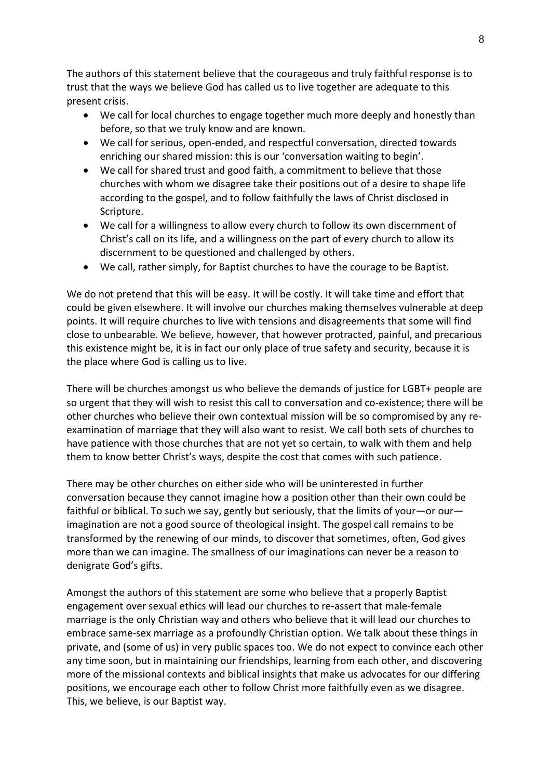The authors of this statement believe that the courageous and truly faithful response is to trust that the ways we believe God has called us to live together are adequate to this present crisis.

- We call for local churches to engage together much more deeply and honestly than before, so that we truly know and are known.
- We call for serious, open-ended, and respectful conversation, directed towards enriching our shared mission: this is our 'conversation waiting to begin'.
- We call for shared trust and good faith, a commitment to believe that those churches with whom we disagree take their positions out of a desire to shape life according to the gospel, and to follow faithfully the laws of Christ disclosed in Scripture.
- We call for a willingness to allow every church to follow its own discernment of Christ's call on its life, and a willingness on the part of every church to allow its discernment to be questioned and challenged by others.
- We call, rather simply, for Baptist churches to have the courage to be Baptist.

We do not pretend that this will be easy. It will be costly. It will take time and effort that could be given elsewhere. It will involve our churches making themselves vulnerable at deep points. It will require churches to live with tensions and disagreements that some will find close to unbearable. We believe, however, that however protracted, painful, and precarious this existence might be, it is in fact our only place of true safety and security, because it is the place where God is calling us to live.

There will be churches amongst us who believe the demands of justice for LGBT+ people are so urgent that they will wish to resist this call to conversation and co-existence; there will be other churches who believe their own contextual mission will be so compromised by any reexamination of marriage that they will also want to resist. We call both sets of churches to have patience with those churches that are not yet so certain, to walk with them and help them to know better Christ's ways, despite the cost that comes with such patience.

There may be other churches on either side who will be uninterested in further conversation because they cannot imagine how a position other than their own could be faithful or biblical. To such we say, gently but seriously, that the limits of your—or our imagination are not a good source of theological insight. The gospel call remains to be transformed by the renewing of our minds, to discover that sometimes, often, God gives more than we can imagine. The smallness of our imaginations can never be a reason to denigrate God's gifts.

Amongst the authors of this statement are some who believe that a properly Baptist engagement over sexual ethics will lead our churches to re-assert that male-female marriage is the only Christian way and others who believe that it will lead our churches to embrace same-sex marriage as a profoundly Christian option. We talk about these things in private, and (some of us) in very public spaces too. We do not expect to convince each other any time soon, but in maintaining our friendships, learning from each other, and discovering more of the missional contexts and biblical insights that make us advocates for our differing positions, we encourage each other to follow Christ more faithfully even as we disagree. This, we believe, is our Baptist way.